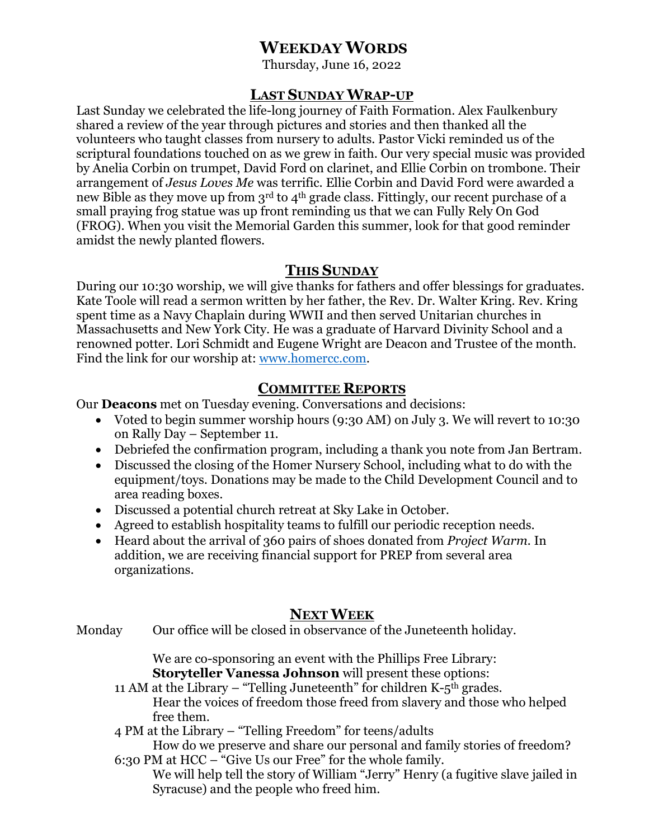# **WEEKDAY WORDS**

Thursday, June 16, 2022

## **LAST SUNDAY WRAP-UP**

Last Sunday we celebrated the life-long journey of Faith Formation. Alex Faulkenbury shared a review of the year through pictures and stories and then thanked all the volunteers who taught classes from nursery to adults. Pastor Vicki reminded us of the scriptural foundations touched on as we grew in faith. Our very special music was provided by Anelia Corbin on trumpet, David Ford on clarinet, and Ellie Corbin on trombone. Their arrangement of *Jesus Loves Me* was terrific. Ellie Corbin and David Ford were awarded a new Bible as they move up from  $3<sup>rd</sup>$  to  $4<sup>th</sup>$  grade class. Fittingly, our recent purchase of a small praying frog statue was up front reminding us that we can Fully Rely On God (FROG). When you visit the Memorial Garden this summer, look for that good reminder amidst the newly planted flowers.

## **THIS SUNDAY**

During our 10:30 worship, we will give thanks for fathers and offer blessings for graduates. Kate Toole will read a sermon written by her father, the Rev. Dr. Walter Kring. Rev. Kring spent time as a Navy Chaplain during WWII and then served Unitarian churches in Massachusetts and New York City. He was a graduate of Harvard Divinity School and a renowned potter. Lori Schmidt and Eugene Wright are Deacon and Trustee of the month. Find the link for our worship at: [www.homercc.com.](http://www.homercc.com/)

## **COMMITTEE REPORTS**

Our **Deacons** met on Tuesday evening. Conversations and decisions:

- Voted to begin summer worship hours (9:30 AM) on July 3. We will revert to 10:30 on Rally Day – September 11.
- Debriefed the confirmation program, including a thank you note from Jan Bertram.
- Discussed the closing of the Homer Nursery School, including what to do with the equipment/toys. Donations may be made to the Child Development Council and to area reading boxes.
- Discussed a potential church retreat at Sky Lake in October.
- Agreed to establish hospitality teams to fulfill our periodic reception needs.
- Heard about the arrival of 360 pairs of shoes donated from *Project Warm.* In addition, we are receiving financial support for PREP from several area organizations.

## **NEXT WEEK**

Monday Our office will be closed in observance of the Juneteenth holiday.

We are co-sponsoring an event with the Phillips Free Library: **Storyteller Vanessa Johnson** will present these options:

11 AM at the Library – "Telling Juneteenth" for children  $K-5<sup>th</sup>$  grades. Hear the voices of freedom those freed from slavery and those who helped free them.

4 PM at the Library – "Telling Freedom" for teens/adults

How do we preserve and share our personal and family stories of freedom? 6:30 PM at HCC – "Give Us our Free" for the whole family.

We will help tell the story of William "Jerry" Henry (a fugitive slave jailed in Syracuse) and the people who freed him.